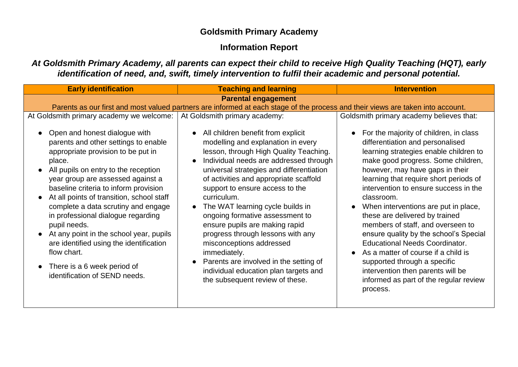## **Goldsmith Primary Academy**

# **Information Report**

*At Goldsmith Primary Academy, all parents can expect their child to receive High Quality Teaching (HQT), early identification of need, and, swift, timely intervention to fulfil their academic and personal potential.*

| <b>Early identification</b>                                                                                                                                                                                                                                                                                                                                                                                                                                                                                                                                               | <b>Teaching and learning</b>                                                                                                                                                                                                                                                                                                                                                                                                                                                                                                                                                                                         | <b>Intervention</b>                                                                                                                                                                                                                                                                                                                                                                                                                                                                                                                                                                                                                                                                          |
|---------------------------------------------------------------------------------------------------------------------------------------------------------------------------------------------------------------------------------------------------------------------------------------------------------------------------------------------------------------------------------------------------------------------------------------------------------------------------------------------------------------------------------------------------------------------------|----------------------------------------------------------------------------------------------------------------------------------------------------------------------------------------------------------------------------------------------------------------------------------------------------------------------------------------------------------------------------------------------------------------------------------------------------------------------------------------------------------------------------------------------------------------------------------------------------------------------|----------------------------------------------------------------------------------------------------------------------------------------------------------------------------------------------------------------------------------------------------------------------------------------------------------------------------------------------------------------------------------------------------------------------------------------------------------------------------------------------------------------------------------------------------------------------------------------------------------------------------------------------------------------------------------------------|
| <b>Parental engagement</b>                                                                                                                                                                                                                                                                                                                                                                                                                                                                                                                                                |                                                                                                                                                                                                                                                                                                                                                                                                                                                                                                                                                                                                                      |                                                                                                                                                                                                                                                                                                                                                                                                                                                                                                                                                                                                                                                                                              |
| Parents as our first and most valued partners are informed at each stage of the process and their views are taken into account.                                                                                                                                                                                                                                                                                                                                                                                                                                           |                                                                                                                                                                                                                                                                                                                                                                                                                                                                                                                                                                                                                      |                                                                                                                                                                                                                                                                                                                                                                                                                                                                                                                                                                                                                                                                                              |
| At Goldsmith primary academy we welcome:                                                                                                                                                                                                                                                                                                                                                                                                                                                                                                                                  | At Goldsmith primary academy:                                                                                                                                                                                                                                                                                                                                                                                                                                                                                                                                                                                        | Goldsmith primary academy believes that:                                                                                                                                                                                                                                                                                                                                                                                                                                                                                                                                                                                                                                                     |
| Open and honest dialogue with<br>parents and other settings to enable<br>appropriate provision to be put in<br>place.<br>All pupils on entry to the reception<br>year group are assessed against a<br>baseline criteria to inform provision<br>At all points of transition, school staff<br>complete a data scrutiny and engage<br>in professional dialogue regarding<br>pupil needs.<br>At any point in the school year, pupils<br>$\bullet$<br>are identified using the identification<br>flow chart.<br>• There is a 6 week period of<br>identification of SEND needs. | All children benefit from explicit<br>modelling and explanation in every<br>lesson, through High Quality Teaching.<br>Individual needs are addressed through<br>universal strategies and differentiation<br>of activities and appropriate scaffold<br>support to ensure access to the<br>curriculum.<br>The WAT learning cycle builds in<br>ongoing formative assessment to<br>ensure pupils are making rapid<br>progress through lessons with any<br>misconceptions addressed<br>immediately.<br>Parents are involved in the setting of<br>individual education plan targets and<br>the subsequent review of these. | For the majority of children, in class<br>$\bullet$<br>differentiation and personalised<br>learning strategies enable children to<br>make good progress. Some children,<br>however, may have gaps in their<br>learning that require short periods of<br>intervention to ensure success in the<br>classroom.<br>When interventions are put in place,<br>these are delivered by trained<br>members of staff, and overseen to<br>ensure quality by the school's Special<br><b>Educational Needs Coordinator.</b><br>As a matter of course if a child is<br>$\bullet$<br>supported through a specific<br>intervention then parents will be<br>informed as part of the regular review<br>process. |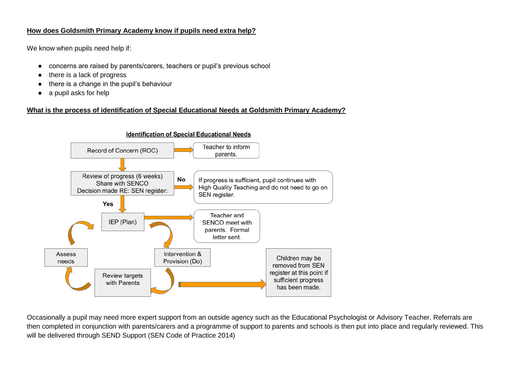#### **How does Goldsmith Primary Academy know if pupils need extra help?**

We know when pupils need help if:

- concerns are raised by parents/carers, teachers or pupil's previous school
- there is a lack of progress
- there is a change in the pupil's behaviour
- a pupil asks for help

## **What is the process of identification of Special Educational Needs at Goldsmith Primary Academy?**



Occasionally a pupil may need more expert support from an outside agency such as the Educational Psychologist or Advisory Teacher. Referrals are then completed in conjunction with parents/carers and a programme of support to parents and schools is then put into place and regularly reviewed. This will be delivered through SEND Support (SEN Code of Practice 2014)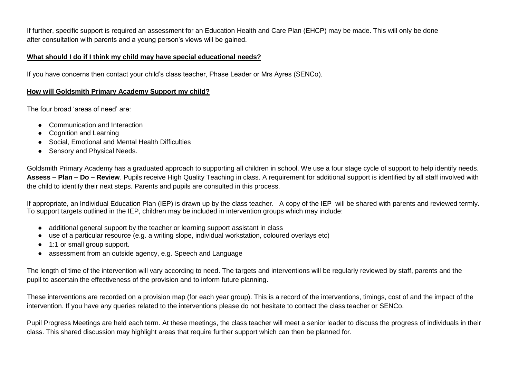If further, specific support is required an assessment for an Education Health and Care Plan (EHCP) may be made. This will only be done after consultation with parents and a young person's views will be gained.

#### **What should I do if I think my child may have special educational needs?**

If you have concerns then contact your child's class teacher, Phase Leader or Mrs Ayres (SENCo).

#### **How will Goldsmith Primary Academy Support my child?**

The four broad 'areas of need' are:

- Communication and Interaction
- Cognition and Learning
- Social, Emotional and Mental Health Difficulties
- Sensory and Physical Needs.

Goldsmith Primary Academy has a graduated approach to supporting all children in school. We use a four stage cycle of support to help identify needs. **Assess – Plan – Do – Review**. Pupils receive High Quality Teaching in class. A requirement for additional support is identified by all staff involved with the child to identify their next steps. Parents and pupils are consulted in this process.

If appropriate, an Individual Education Plan (IEP) is drawn up by the class teacher. A copy of the IEP will be shared with parents and reviewed termly. To support targets outlined in the IEP, children may be included in intervention groups which may include:

- additional general support by the teacher or learning support assistant in class
- use of a particular resource (e.g. a writing slope, individual workstation, coloured overlays etc)
- 1:1 or small group support.
- assessment from an outside agency, e.g. Speech and Language

The length of time of the intervention will vary according to need. The targets and interventions will be regularly reviewed by staff, parents and the pupil to ascertain the effectiveness of the provision and to inform future planning.

These interventions are recorded on a provision map (for each year group). This is a record of the interventions, timings, cost of and the impact of the intervention. If you have any queries related to the interventions please do not hesitate to contact the class teacher or SENCo.

Pupil Progress Meetings are held each term. At these meetings, the class teacher will meet a senior leader to discuss the progress of individuals in their class. This shared discussion may highlight areas that require further support which can then be planned for.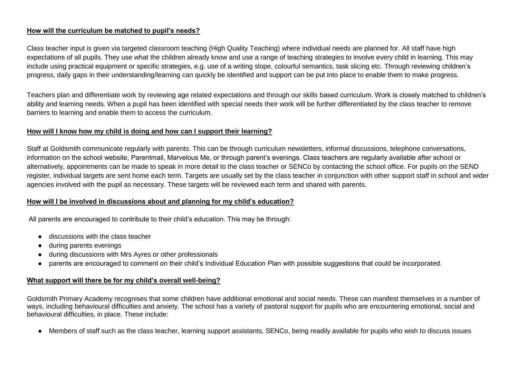## **How will the curriculum be matched to pupil's needs?**

Class teacher input is given via targeted classroom teaching (High Quality Teaching) where individual needs are planned for. All staff have high expectations of all pupils. They use what the children already know and use a range of teaching strategies to involve every child in learning. This may include using practical equipment or specific strategies, e.g. use of a writing slope, colourful semantics, task slicing etc. Through reviewing children's progress, daily gaps in their understanding/learning can quickly be identified and support can be put into place to enable them to make progress.

Teachers plan and differentiate work by reviewing age related expectations and through our skills based curriculum. Work is closely matched to children's ability and learning needs. When a pupil has been identified with special needs their work will be further differentiated by the class teacher to remove barriers to learning and enable them to access the curriculum.

#### **How will I know how my child is doing and how can I support their learning?**

Staff at Goldsmith communicate regularly with parents. This can be through curriculum newsletters, informal discussions, telephone conversations, information on the school website, Parentmail, Marvelous Me, or through parent's evenings. Class teachers are regularly available after school or alternatively, appointments can be made to speak in more detail to the class teacher or SENCo by contacting the school office. For pupils on the SEND register, individual targets are sent home each term. Targets are usually set by the class teacher in conjunction with other support staff in school and wider agencies involved with the pupil as necessary. These targets will be reviewed each term and shared with parents.

#### **How will I be involved in discussions about and planning for my child's education?**

All parents are encouraged to contribute to their child's education. This may be through:

- discussions with the class teacher
- during parents evenings
- during discussions with Mrs Ayres or other professionals
- parents are encouraged to comment on their child's Individual Education Plan with possible suggestions that could be incorporated.

## **What support will there be for my child's overall well-being?**

Goldsmith Primary Academy recognises that some children have additional emotional and social needs. These can manifest themselves in a number of ways, including behavioural difficulties and anxiety. The school has a variety of pastoral support for pupils who are encountering emotional, social and behavioural difficulties, in place. These include:

● Members of staff such as the class teacher, learning support assistants, SENCo, being readily available for pupils who wish to discuss issues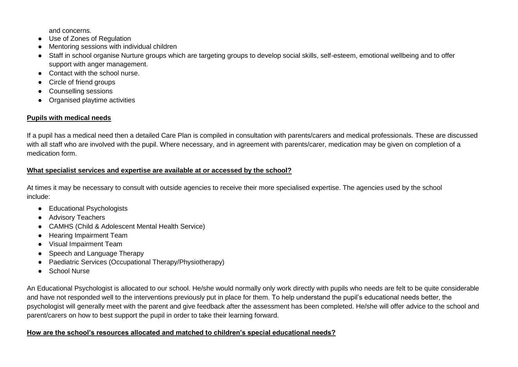and concerns.

- Use of Zones of Regulation
- Mentoring sessions with individual children
- Staff in school organise Nurture groups which are targeting groups to develop social skills, self-esteem, emotional wellbeing and to offer support with anger management.
- Contact with the school nurse.
- Circle of friend groups
- Counselling sessions
- Organised playtime activities

## **Pupils with medical needs**

If a pupil has a medical need then a detailed Care Plan is compiled in consultation with parents/carers and medical professionals. These are discussed with all staff who are involved with the pupil. Where necessary, and in agreement with parents/carer, medication may be given on completion of a medication form.

## **What specialist services and expertise are available at or accessed by the school?**

At times it may be necessary to consult with outside agencies to receive their more specialised expertise. The agencies used by the school include:

- Educational Psychologists
- Advisory Teachers
- CAMHS (Child & Adolescent Mental Health Service)
- Hearing Impairment Team
- Visual Impairment Team
- Speech and Language Therapy
- Paediatric Services (Occupational Therapy/Physiotherapy)
- School Nurse

An Educational Psychologist is allocated to our school. He/she would normally only work directly with pupils who needs are felt to be quite considerable and have not responded well to the interventions previously put in place for them. To help understand the pupil's educational needs better, the psychologist will generally meet with the parent and give feedback after the assessment has been completed. He/she will offer advice to the school and parent/carers on how to best support the pupil in order to take their learning forward.

## **How are the school's resources allocated and matched to children's special educational needs?**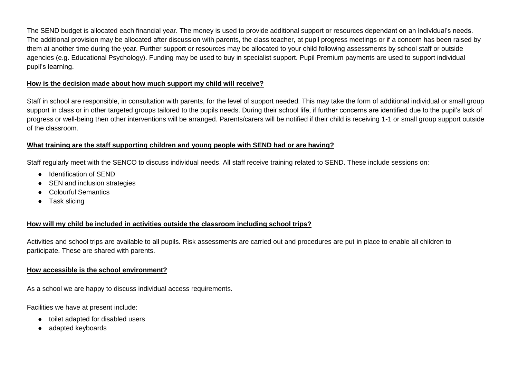The SEND budget is allocated each financial year. The money is used to provide additional support or resources dependant on an individual's needs. The additional provision may be allocated after discussion with parents, the class teacher, at pupil progress meetings or if a concern has been raised by them at another time during the year. Further support or resources may be allocated to your child following assessments by school staff or outside agencies (e.g. Educational Psychology). Funding may be used to buy in specialist support. Pupil Premium payments are used to support individual pupil's learning.

#### **How is the decision made about how much support my child will receive?**

Staff in school are responsible, in consultation with parents, for the level of support needed. This may take the form of additional individual or small group support in class or in other targeted groups tailored to the pupils needs. During their school life, if further concerns are identified due to the pupil's lack of progress or well-being then other interventions will be arranged. Parents/carers will be notified if their child is receiving 1-1 or small group support outside of the classroom.

#### **What training are the staff supporting children and young people with SEND had or are having?**

Staff regularly meet with the SENCO to discuss individual needs. All staff receive training related to SEND. These include sessions on:

- Identification of SEND
- SEN and inclusion strategies
- Colourful Semantics
- Task slicing

#### **How will my child be included in activities outside the classroom including school trips?**

Activities and school trips are available to all pupils. Risk assessments are carried out and procedures are put in place to enable all children to participate. These are shared with parents.

#### **How accessible is the school environment?**

As a school we are happy to discuss individual access requirements.

Facilities we have at present include:

- toilet adapted for disabled users
- adapted keyboards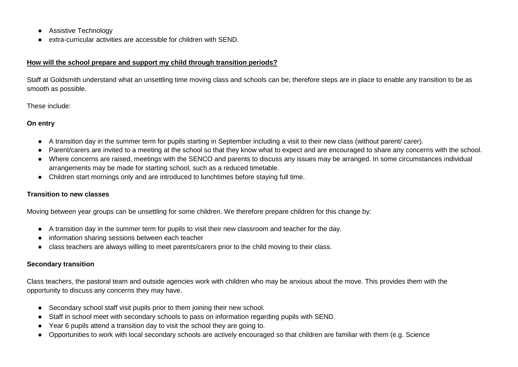- Assistive Technology
- extra-curricular activities are accessible for children with SEND.

#### **How will the school prepare and support my child through transition periods?**

Staff at Goldsmith understand what an unsettling time moving class and schools can be; therefore steps are in place to enable any transition to be as smooth as possible.

These include:

#### **On entry**

- A transition day in the summer term for pupils starting in September including a visit to their new class (without parent/ carer).
- Parent/carers are invited to a meeting at the school so that they know what to expect and are encouraged to share any concerns with the school.
- Where concerns are raised, meetings with the SENCO and parents to discuss any issues may be arranged. In some circumstances individual arrangements may be made for starting school, such as a reduced timetable.
- Children start mornings only and are introduced to lunchtimes before staying full time.

#### **Transition to new classes**

Moving between year groups can be unsettling for some children. We therefore prepare children for this change by:

- A transition day in the summer term for pupils to visit their new classroom and teacher for the day.
- information sharing sessions between each teacher
- class teachers are always willing to meet parents/carers prior to the child moving to their class.

## **Secondary transition**

Class teachers, the pastoral team and outside agencies work with children who may be anxious about the move. This provides them with the opportunity to discuss any concerns they may have.

- Secondary school staff visit pupils prior to them joining their new school.
- Staff in school meet with secondary schools to pass on information regarding pupils with SEND.
- Year 6 pupils attend a transition day to visit the school they are going to.
- Opportunities to work with local secondary schools are actively encouraged so that children are familiar with them (e.g. Science